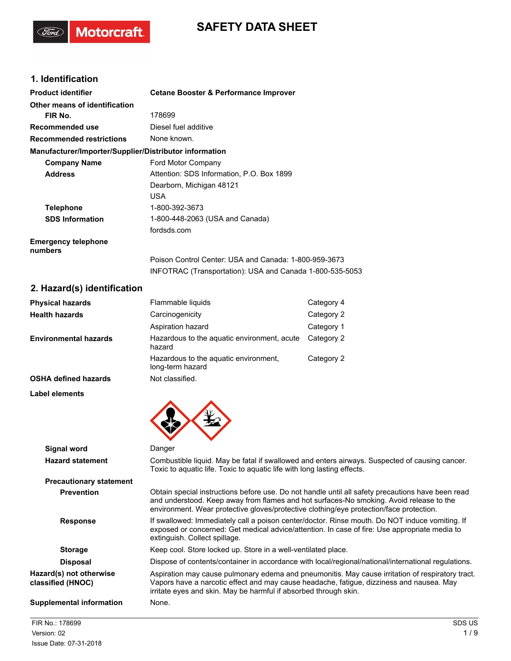# **SAFETY DATA SHEET**

# **1. Identification**

(Ford)

Motorcraft.

| <b>Product identifier</b>                              | <b>Cetane Booster &amp; Performance Improver</b>                                                                  |
|--------------------------------------------------------|-------------------------------------------------------------------------------------------------------------------|
| Other means of identification                          |                                                                                                                   |
| FIR No.                                                | 178699                                                                                                            |
| Recommended use                                        | Diesel fuel additive                                                                                              |
| <b>Recommended restrictions</b>                        | None known.                                                                                                       |
| Manufacturer/Importer/Supplier/Distributor information |                                                                                                                   |
| <b>Company Name</b>                                    | Ford Motor Company                                                                                                |
| <b>Address</b>                                         | Attention: SDS Information, P.O. Box 1899                                                                         |
|                                                        | Dearborn, Michigan 48121                                                                                          |
|                                                        | <b>USA</b>                                                                                                        |
| <b>Telephone</b>                                       | 1-800-392-3673                                                                                                    |
| <b>SDS Information</b>                                 | 1-800-448-2063 (USA and Canada)                                                                                   |
|                                                        | fordsds.com                                                                                                       |
| <b>Emergency telephone</b><br>numbers                  |                                                                                                                   |
|                                                        | Poison Control Center: USA and Canada: 1-800-959-3673<br>INFOTRAC (Transportation): USA and Canada 1-800-535-5053 |

# **2. Hazard(s) identification**

| <b>Physical hazards</b>      | Flammable liquids                                         | Category 4 |
|------------------------------|-----------------------------------------------------------|------------|
| <b>Health hazards</b>        | Carcinogenicity                                           | Category 2 |
|                              | Aspiration hazard                                         | Category 1 |
| <b>Environmental hazards</b> | Hazardous to the aguatic environment, acute<br>hazard     | Category 2 |
|                              | Hazardous to the aquatic environment,<br>long-term hazard | Category 2 |
| <b>OSHA defined hazards</b>  | Not classified.                                           |            |

**Label elements**

| Signal word                                  | Danger                                                                                                                                                                                                                                                                                  |
|----------------------------------------------|-----------------------------------------------------------------------------------------------------------------------------------------------------------------------------------------------------------------------------------------------------------------------------------------|
| <b>Hazard statement</b>                      | Combustible liquid. May be fatal if swallowed and enters airways. Suspected of causing cancer.<br>Toxic to aquatic life. Toxic to aquatic life with long lasting effects.                                                                                                               |
| <b>Precautionary statement</b>               |                                                                                                                                                                                                                                                                                         |
| <b>Prevention</b>                            | Obtain special instructions before use. Do not handle until all safety precautions have been read<br>and understood. Keep away from flames and hot surfaces-No smoking. Avoid release to the<br>environment. Wear protective gloves/protective clothing/eye protection/face protection. |
| <b>Response</b>                              | If swallowed: Immediately call a poison center/doctor. Rinse mouth. Do NOT induce vomiting. If<br>exposed or concerned: Get medical advice/attention. In case of fire: Use appropriate media to<br>extinguish. Collect spillage.                                                        |
| <b>Storage</b>                               | Keep cool. Store locked up. Store in a well-ventilated place.                                                                                                                                                                                                                           |
| <b>Disposal</b>                              | Dispose of contents/container in accordance with local/regional/national/international regulations.                                                                                                                                                                                     |
| Hazard(s) not otherwise<br>classified (HNOC) | Aspiration may cause pulmonary edema and pneumonitis. May cause irritation of respiratory tract.<br>Vapors have a narcotic effect and may cause headache, fatigue, dizziness and nausea. May<br>irritate eyes and skin. May be harmful if absorbed through skin.                        |
| Supplemental information                     | None.                                                                                                                                                                                                                                                                                   |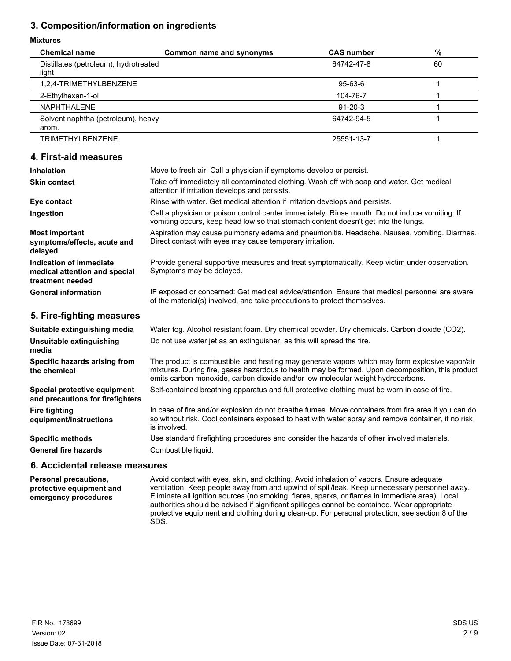# **3. Composition/information on ingredients**

#### **Mixtures**

| <b>Chemical name</b>                           | Common name and synonyms | <b>CAS number</b> | $\%$ |
|------------------------------------------------|--------------------------|-------------------|------|
| Distillates (petroleum), hydrotreated<br>light |                          | 64742-47-8        | 60   |
| 1,2,4-TRIMETHYLBENZENE                         |                          | 95-63-6           |      |
| 2-Ethylhexan-1-ol                              |                          | 104-76-7          |      |
| NAPHTHALENE                                    |                          | $91 - 20 - 3$     |      |
| Solvent naphtha (petroleum), heavy<br>arom.    |                          | 64742-94-5        |      |
| <b>TRIMETHYLBENZENE</b>                        |                          | 25551-13-7        |      |

#### **4. First-aid measures**

| <b>Inhalation</b>                                                            | Move to fresh air. Call a physician if symptoms develop or persist.                                                                                                                  |
|------------------------------------------------------------------------------|--------------------------------------------------------------------------------------------------------------------------------------------------------------------------------------|
| <b>Skin contact</b>                                                          | Take off immediately all contaminated clothing. Wash off with soap and water. Get medical<br>attention if irritation develops and persists.                                          |
| Eye contact                                                                  | Rinse with water. Get medical attention if irritation develops and persists.                                                                                                         |
| Ingestion                                                                    | Call a physician or poison control center immediately. Rinse mouth. Do not induce vomiting. If<br>vomiting occurs, keep head low so that stomach content doesn't get into the lungs. |
| <b>Most important</b><br>symptoms/effects, acute and<br>delayed              | Aspiration may cause pulmonary edema and pneumonitis. Headache. Nausea, vomiting. Diarrhea.<br>Direct contact with eyes may cause temporary irritation.                              |
| Indication of immediate<br>medical attention and special<br>treatment needed | Provide general supportive measures and treat symptomatically. Keep victim under observation.<br>Symptoms may be delayed.                                                            |
| <b>General information</b>                                                   | IF exposed or concerned: Get medical advice/attention. Ensure that medical personnel are aware<br>of the material(s) involved, and take precautions to protect themselves.           |

#### **5. Fire-fighting measures**

| Suitable extinguishing media                                     | Water fog. Alcohol resistant foam. Dry chemical powder. Dry chemicals. Carbon dioxide (CO2).                                                                                                                                                                                          |
|------------------------------------------------------------------|---------------------------------------------------------------------------------------------------------------------------------------------------------------------------------------------------------------------------------------------------------------------------------------|
| Unsuitable extinguishing<br>media                                | Do not use water jet as an extinguisher, as this will spread the fire.                                                                                                                                                                                                                |
| Specific hazards arising from<br>the chemical                    | The product is combustible, and heating may generate vapors which may form explosive vapor/air<br>mixtures. During fire, gases hazardous to health may be formed. Upon decomposition, this product<br>emits carbon monoxide, carbon dioxide and/or low molecular weight hydrocarbons. |
| Special protective equipment<br>and precautions for firefighters | Self-contained breathing apparatus and full protective clothing must be worn in case of fire.                                                                                                                                                                                         |
| <b>Fire fighting</b><br>equipment/instructions                   | In case of fire and/or explosion do not breathe fumes. Move containers from fire area if you can do<br>so without risk. Cool containers exposed to heat with water spray and remove container, if no risk<br>is involved.                                                             |
| <b>Specific methods</b>                                          | Use standard firefighting procedures and consider the hazards of other involved materials.                                                                                                                                                                                            |
| <b>General fire hazards</b>                                      | Combustible liquid.                                                                                                                                                                                                                                                                   |
| anussam assalar letnahina a                                      |                                                                                                                                                                                                                                                                                       |

# **6. Accidental release measures**

**Personal precautions, protective equipment and emergency procedures**

Avoid contact with eyes, skin, and clothing. Avoid inhalation of vapors. Ensure adequate ventilation. Keep people away from and upwind of spill/leak. Keep unnecessary personnel away. Eliminate all ignition sources (no smoking, flares, sparks, or flames in immediate area). Local authorities should be advised if significant spillages cannot be contained. Wear appropriate protective equipment and clothing during clean-up. For personal protection, see section 8 of the SDS.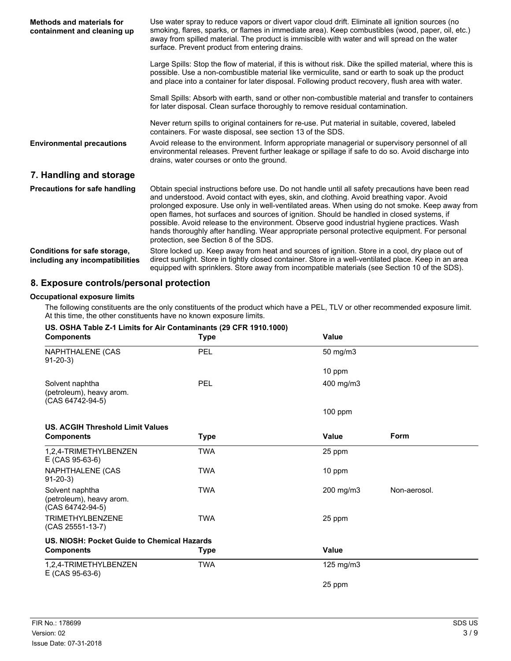| Methods and materials for<br>containment and cleaning up        | Use water spray to reduce vapors or divert vapor cloud drift. Eliminate all ignition sources (no<br>smoking, flares, sparks, or flames in immediate area). Keep combustibles (wood, paper, oil, etc.)<br>away from spilled material. The product is immiscible with water and will spread on the water<br>surface. Prevent product from entering drains.                                                                                                                                                                                                                                                                                |
|-----------------------------------------------------------------|-----------------------------------------------------------------------------------------------------------------------------------------------------------------------------------------------------------------------------------------------------------------------------------------------------------------------------------------------------------------------------------------------------------------------------------------------------------------------------------------------------------------------------------------------------------------------------------------------------------------------------------------|
|                                                                 | Large Spills: Stop the flow of material, if this is without risk. Dike the spilled material, where this is<br>possible. Use a non-combustible material like vermiculite, sand or earth to soak up the product<br>and place into a container for later disposal. Following product recovery, flush area with water.                                                                                                                                                                                                                                                                                                                      |
|                                                                 | Small Spills: Absorb with earth, sand or other non-combustible material and transfer to containers<br>for later disposal. Clean surface thoroughly to remove residual contamination.                                                                                                                                                                                                                                                                                                                                                                                                                                                    |
|                                                                 | Never return spills to original containers for re-use. Put material in suitable, covered, labeled<br>containers. For waste disposal, see section 13 of the SDS.                                                                                                                                                                                                                                                                                                                                                                                                                                                                         |
| <b>Environmental precautions</b>                                | Avoid release to the environment. Inform appropriate managerial or supervisory personnel of all<br>environmental releases. Prevent further leakage or spillage if safe to do so. Avoid discharge into<br>drains, water courses or onto the ground.                                                                                                                                                                                                                                                                                                                                                                                      |
| 7. Handling and storage                                         |                                                                                                                                                                                                                                                                                                                                                                                                                                                                                                                                                                                                                                         |
| Precautions for safe handling                                   | Obtain special instructions before use. Do not handle until all safety precautions have been read<br>and understood. Avoid contact with eyes, skin, and clothing. Avoid breathing vapor. Avoid<br>prolonged exposure. Use only in well-ventilated areas. When using do not smoke. Keep away from<br>open flames, hot surfaces and sources of ignition. Should be handled in closed systems, if<br>possible. Avoid release to the environment. Observe good industrial hygiene practices. Wash<br>hands thoroughly after handling. Wear appropriate personal protective equipment. For personal<br>protection, see Section 8 of the SDS. |
| Conditions for safe storage,<br>including any incompatibilities | Store locked up. Keep away from heat and sources of ignition. Store in a cool, dry place out of<br>direct sunlight. Store in tightly closed container. Store in a well-ventilated place. Keep in an area<br>equipped with sprinklers. Store away from incompatible materials (see Section 10 of the SDS).                                                                                                                                                                                                                                                                                                                               |

## **8. Exposure controls/personal protection**

#### **Occupational exposure limits**

The following constituents are the only constituents of the product which have a PEL, TLV or other recommended exposure limit. At this time, the other constituents have no known exposure limits.

| US. OSHA Table Z-1 Limits for Air Contaminants (29 CFR 1910.1000)<br><b>Components</b> | <b>Type</b> | Value              |              |
|----------------------------------------------------------------------------------------|-------------|--------------------|--------------|
| NAPHTHALENE (CAS<br>$91 - 20 - 3$                                                      | PEL         | 50 mg/m3           |              |
|                                                                                        |             | 10 ppm             |              |
| Solvent naphtha<br>(petroleum), heavy arom.<br>(CAS 64742-94-5)                        | PEL         | 400 mg/m3          |              |
|                                                                                        |             | $100$ ppm          |              |
| <b>US. ACGIH Threshold Limit Values</b>                                                |             |                    |              |
| <b>Components</b>                                                                      | Type        | Value              | Form         |
| 1,2,4-TRIMETHYLBENZEN<br>E (CAS 95-63-6)                                               | TWA         | 25 ppm             |              |
| NAPHTHALENE (CAS<br>$91-20-3$                                                          | <b>TWA</b>  | 10 ppm             |              |
| Solvent naphtha<br>(petroleum), heavy arom.<br>(CAS 64742-94-5)                        | <b>TWA</b>  | 200 mg/m3          | Non-aerosol. |
| <b>TRIMETHYLBENZENE</b><br>(CAS 25551-13-7)                                            | <b>TWA</b>  | 25 ppm             |              |
| US. NIOSH: Pocket Guide to Chemical Hazards                                            |             |                    |              |
| <b>Components</b>                                                                      | <b>Type</b> | Value              |              |
| 1,2,4-TRIMETHYLBENZEN<br>E (CAS 95-63-6)                                               | <b>TWA</b>  | $125 \text{ mg/m}$ |              |
|                                                                                        |             | 25 ppm             |              |

### **US. OSHA Table Z-1 Limits for Air Contaminants (29 CFR 1910.1000)**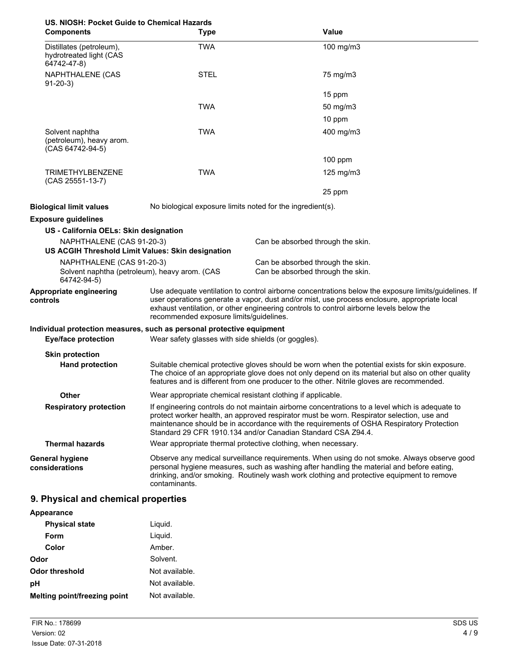| US. NIOSH: Pocket Guide to Chemical Hazards<br><b>Components</b>                          | <b>Type</b>                                                                                                                                                                                                                                                                                                                                | <b>Value</b>                                                                                                                                                                                                                                                                                                                                             |
|-------------------------------------------------------------------------------------------|--------------------------------------------------------------------------------------------------------------------------------------------------------------------------------------------------------------------------------------------------------------------------------------------------------------------------------------------|----------------------------------------------------------------------------------------------------------------------------------------------------------------------------------------------------------------------------------------------------------------------------------------------------------------------------------------------------------|
| Distillates (petroleum),<br>hydrotreated light (CAS<br>64742-47-8)                        | <b>TWA</b>                                                                                                                                                                                                                                                                                                                                 | 100 mg/m3                                                                                                                                                                                                                                                                                                                                                |
| NAPHTHALENE (CAS<br>$91-20-3$                                                             | <b>STEL</b>                                                                                                                                                                                                                                                                                                                                | 75 mg/m3                                                                                                                                                                                                                                                                                                                                                 |
|                                                                                           |                                                                                                                                                                                                                                                                                                                                            | 15 ppm                                                                                                                                                                                                                                                                                                                                                   |
|                                                                                           | <b>TWA</b>                                                                                                                                                                                                                                                                                                                                 | 50 mg/m3                                                                                                                                                                                                                                                                                                                                                 |
|                                                                                           |                                                                                                                                                                                                                                                                                                                                            | 10 ppm                                                                                                                                                                                                                                                                                                                                                   |
| Solvent naphtha<br>(petroleum), heavy arom.<br>(CAS 64742-94-5)                           | <b>TWA</b>                                                                                                                                                                                                                                                                                                                                 | 400 mg/m3                                                                                                                                                                                                                                                                                                                                                |
|                                                                                           |                                                                                                                                                                                                                                                                                                                                            | $100$ ppm                                                                                                                                                                                                                                                                                                                                                |
| <b>TRIMETHYLBENZENE</b><br>(CAS 25551-13-7)                                               | <b>TWA</b>                                                                                                                                                                                                                                                                                                                                 | $125$ mg/m $3$                                                                                                                                                                                                                                                                                                                                           |
|                                                                                           |                                                                                                                                                                                                                                                                                                                                            | 25 ppm                                                                                                                                                                                                                                                                                                                                                   |
| <b>Biological limit values</b>                                                            | No biological exposure limits noted for the ingredient(s).                                                                                                                                                                                                                                                                                 |                                                                                                                                                                                                                                                                                                                                                          |
| <b>Exposure guidelines</b>                                                                |                                                                                                                                                                                                                                                                                                                                            |                                                                                                                                                                                                                                                                                                                                                          |
| US - California OELs: Skin designation                                                    |                                                                                                                                                                                                                                                                                                                                            |                                                                                                                                                                                                                                                                                                                                                          |
| NAPHTHALENE (CAS 91-20-3)<br>US ACGIH Threshold Limit Values: Skin designation            |                                                                                                                                                                                                                                                                                                                                            | Can be absorbed through the skin.                                                                                                                                                                                                                                                                                                                        |
| NAPHTHALENE (CAS 91-20-3)<br>Solvent naphtha (petroleum), heavy arom. (CAS<br>64742-94-5) |                                                                                                                                                                                                                                                                                                                                            | Can be absorbed through the skin.<br>Can be absorbed through the skin.                                                                                                                                                                                                                                                                                   |
| Appropriate engineering<br>controls                                                       | Use adequate ventilation to control airborne concentrations below the exposure limits/guidelines. If<br>user operations generate a vapor, dust and/or mist, use process enclosure, appropriate local<br>exhaust ventilation, or other engineering controls to control airborne levels below the<br>recommended exposure limits/guidelines. |                                                                                                                                                                                                                                                                                                                                                          |
| Individual protection measures, such as personal protective equipment                     |                                                                                                                                                                                                                                                                                                                                            |                                                                                                                                                                                                                                                                                                                                                          |
| <b>Eye/face protection</b>                                                                | Wear safety glasses with side shields (or goggles).                                                                                                                                                                                                                                                                                        |                                                                                                                                                                                                                                                                                                                                                          |
| <b>Skin protection</b>                                                                    |                                                                                                                                                                                                                                                                                                                                            |                                                                                                                                                                                                                                                                                                                                                          |
| <b>Hand protection</b>                                                                    |                                                                                                                                                                                                                                                                                                                                            | Suitable chemical protective gloves should be worn when the potential exists for skin exposure.<br>The choice of an appropriate glove does not only depend on its material but also on other quality<br>features and is different from one producer to the other. Nitrile gloves are recommended.                                                        |
| Other                                                                                     | Wear appropriate chemical resistant clothing if applicable.                                                                                                                                                                                                                                                                                |                                                                                                                                                                                                                                                                                                                                                          |
| <b>Respiratory protection</b>                                                             |                                                                                                                                                                                                                                                                                                                                            | If engineering controls do not maintain airborne concentrations to a level which is adequate to<br>protect worker health, an approved respirator must be worn. Respirator selection, use and<br>maintenance should be in accordance with the requirements of OSHA Respiratory Protection<br>Standard 29 CFR 1910.134 and/or Canadian Standard CSA Z94.4. |
| <b>Thermal hazards</b>                                                                    |                                                                                                                                                                                                                                                                                                                                            | Wear appropriate thermal protective clothing, when necessary.                                                                                                                                                                                                                                                                                            |
| <b>General hygiene</b><br>considerations                                                  | contaminants.                                                                                                                                                                                                                                                                                                                              | Observe any medical surveillance requirements. When using do not smoke. Always observe good<br>personal hygiene measures, such as washing after handling the material and before eating,<br>drinking, and/or smoking. Routinely wash work clothing and protective equipment to remove                                                                    |

# **9. Physical and chemical properties**

| Appearance                   |                |
|------------------------------|----------------|
| <b>Physical state</b>        | Liguid.        |
| Form                         | Liquid.        |
| Color                        | Amber.         |
| Odor                         | Solvent.       |
| Odor threshold               | Not available. |
| рH                           | Not available. |
| Melting point/freezing point | Not available. |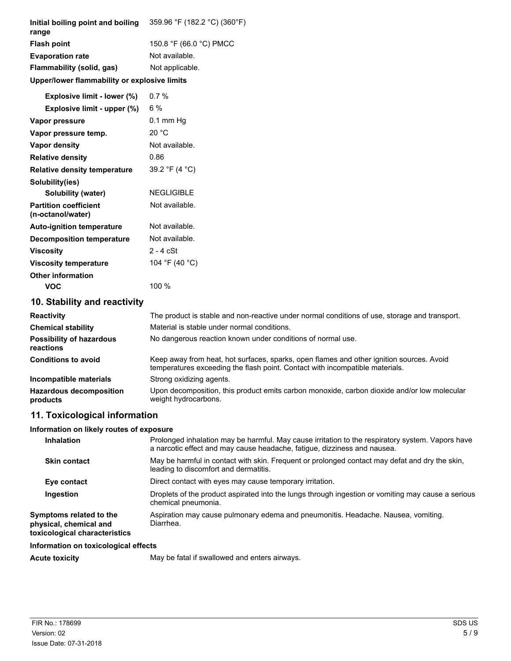| Initial boiling point and boiling<br>range        | 359.96 °F (182.2 °C) (360°F)                                                                                                                                                 |
|---------------------------------------------------|------------------------------------------------------------------------------------------------------------------------------------------------------------------------------|
| <b>Flash point</b>                                | 150.8 °F (66.0 °C) PMCC                                                                                                                                                      |
| <b>Evaporation rate</b>                           | Not available.                                                                                                                                                               |
| Flammability (solid, gas)                         | Not applicable.                                                                                                                                                              |
| Upper/lower flammability or explosive limits      |                                                                                                                                                                              |
| Explosive limit - lower (%)                       | 0.7%                                                                                                                                                                         |
| Explosive limit - upper (%)                       | 6%                                                                                                                                                                           |
| Vapor pressure                                    | $0.1$ mm Hg                                                                                                                                                                  |
| Vapor pressure temp.                              | 20 °C                                                                                                                                                                        |
| <b>Vapor density</b>                              | Not available.                                                                                                                                                               |
| <b>Relative density</b>                           | 0.86                                                                                                                                                                         |
| <b>Relative density temperature</b>               | 39.2 °F (4 °C)                                                                                                                                                               |
| Solubility(ies)                                   |                                                                                                                                                                              |
| <b>Solubility (water)</b>                         | <b>NEGLIGIBLE</b>                                                                                                                                                            |
| <b>Partition coefficient</b><br>(n-octanol/water) | Not available.                                                                                                                                                               |
| <b>Auto-ignition temperature</b>                  | Not available.                                                                                                                                                               |
| <b>Decomposition temperature</b>                  | Not available.                                                                                                                                                               |
| <b>Viscosity</b>                                  | $2 - 4$ cSt                                                                                                                                                                  |
| <b>Viscosity temperature</b>                      | 104 °F (40 °C)                                                                                                                                                               |
| <b>Other information</b>                          |                                                                                                                                                                              |
| <b>VOC</b>                                        | 100 %                                                                                                                                                                        |
| 10. Stability and reactivity                      |                                                                                                                                                                              |
| <b>Reactivity</b>                                 | The product is stable and non-reactive under normal conditions of use, storage and transport.                                                                                |
| <b>Chemical stability</b>                         | Material is stable under normal conditions.                                                                                                                                  |
| <b>Possibility of hazardous</b><br>reactions      | No dangerous reaction known under conditions of normal use.                                                                                                                  |
| <b>Conditions to avoid</b>                        | Keep away from heat, hot surfaces, sparks, open flames and other ignition sources. Avoid<br>temperatures exceeding the flash point. Contact with incompatible materials.     |
| Incompatible materials                            | Strong oxidizing agents.                                                                                                                                                     |
| <b>Hazardous decomposition</b><br>products        | Upon decomposition, this product emits carbon monoxide, carbon dioxide and/or low molecular<br>weight hydrocarbons.                                                          |
| 11. Toxicological information                     |                                                                                                                                                                              |
| Information on likely routes of exposure          |                                                                                                                                                                              |
| Inhalation                                        | Prolonged inhalation may be harmful. May cause irritation to the respiratory system. Vapors have<br>a narcotic effect and may cause headache, fatigue, dizziness and nausea. |
|                                                   |                                                                                                                                                                              |

|                                                                                    | a narcotic effect and may cause headache, fatigue, dizziness and nausea.                                                                |
|------------------------------------------------------------------------------------|-----------------------------------------------------------------------------------------------------------------------------------------|
| <b>Skin contact</b>                                                                | May be harmful in contact with skin. Frequent or prolonged contact may defat and dry the skin,<br>leading to discomfort and dermatitis. |
| Eye contact                                                                        | Direct contact with eyes may cause temporary irritation.                                                                                |
| Ingestion                                                                          | Droplets of the product aspirated into the lungs through ingestion or vomiting may cause a serious<br>chemical pneumonia.               |
| Symptoms related to the<br>physical, chemical and<br>toxicological characteristics | Aspiration may cause pulmonary edema and pneumonitis. Headache. Nausea, vomiting.<br>Diarrhea.                                          |

## **Information on toxicological effects**

Acute toxicity **May be fatal if swallowed and enters airways.**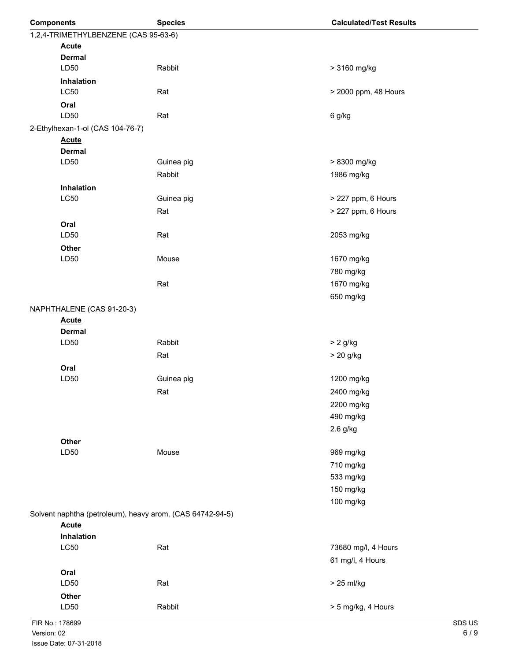| <b>Components</b>                    |                                                           | <b>Species</b> | <b>Calculated/Test Results</b> |  |
|--------------------------------------|-----------------------------------------------------------|----------------|--------------------------------|--|
| 1,2,4-TRIMETHYLBENZENE (CAS 95-63-6) |                                                           |                |                                |  |
|                                      | <b>Acute</b>                                              |                |                                |  |
|                                      | <b>Dermal</b>                                             |                |                                |  |
|                                      | LD50                                                      | Rabbit         | > 3160 mg/kg                   |  |
|                                      | Inhalation<br><b>LC50</b>                                 |                |                                |  |
|                                      |                                                           | Rat            | > 2000 ppm, 48 Hours           |  |
|                                      | Oral<br>LD50                                              | Rat            | 6 g/kg                         |  |
|                                      | 2-Ethylhexan-1-ol (CAS 104-76-7)                          |                |                                |  |
|                                      | <b>Acute</b>                                              |                |                                |  |
|                                      | <b>Dermal</b>                                             |                |                                |  |
|                                      | LD50                                                      | Guinea pig     | > 8300 mg/kg                   |  |
|                                      |                                                           | Rabbit         | 1986 mg/kg                     |  |
|                                      | Inhalation                                                |                |                                |  |
|                                      | <b>LC50</b>                                               | Guinea pig     | > 227 ppm, 6 Hours             |  |
|                                      |                                                           | Rat            | > 227 ppm, 6 Hours             |  |
|                                      | Oral                                                      |                |                                |  |
|                                      | LD50                                                      | Rat            | 2053 mg/kg                     |  |
|                                      | Other                                                     |                |                                |  |
|                                      | LD50                                                      | Mouse          | 1670 mg/kg                     |  |
|                                      |                                                           |                | 780 mg/kg                      |  |
|                                      |                                                           | Rat            | 1670 mg/kg                     |  |
|                                      |                                                           |                | 650 mg/kg                      |  |
|                                      | NAPHTHALENE (CAS 91-20-3)                                 |                |                                |  |
|                                      | <b>Acute</b><br><b>Dermal</b>                             |                |                                |  |
|                                      | LD50                                                      | Rabbit         | $> 2$ g/kg                     |  |
|                                      |                                                           | Rat            | > 20 g/kg                      |  |
|                                      | Oral                                                      |                |                                |  |
|                                      | LD50                                                      | Guinea pig     | 1200 mg/kg                     |  |
|                                      |                                                           | Rat            | 2400 mg/kg                     |  |
|                                      |                                                           |                | 2200 mg/kg                     |  |
|                                      |                                                           |                | 490 mg/kg                      |  |
|                                      |                                                           |                | 2.6 g/kg                       |  |
|                                      | Other                                                     |                |                                |  |
|                                      | LD50                                                      | Mouse          | 969 mg/kg                      |  |
|                                      |                                                           |                | 710 mg/kg                      |  |
|                                      |                                                           |                | 533 mg/kg                      |  |
|                                      |                                                           |                | 150 mg/kg                      |  |
|                                      |                                                           |                | 100 mg/kg                      |  |
|                                      | Solvent naphtha (petroleum), heavy arom. (CAS 64742-94-5) |                |                                |  |
|                                      | <b>Acute</b>                                              |                |                                |  |
|                                      | Inhalation<br>LC50                                        | Rat            | 73680 mg/l, 4 Hours            |  |
|                                      |                                                           |                | 61 mg/l, 4 Hours               |  |
|                                      | Oral                                                      |                |                                |  |
|                                      | LD50                                                      | Rat            | > 25 ml/kg                     |  |
|                                      | Other                                                     |                |                                |  |
|                                      | LD50                                                      | Rabbit         | > 5 mg/kg, 4 Hours             |  |
| FIR No.: 178699                      |                                                           |                | SDS US                         |  |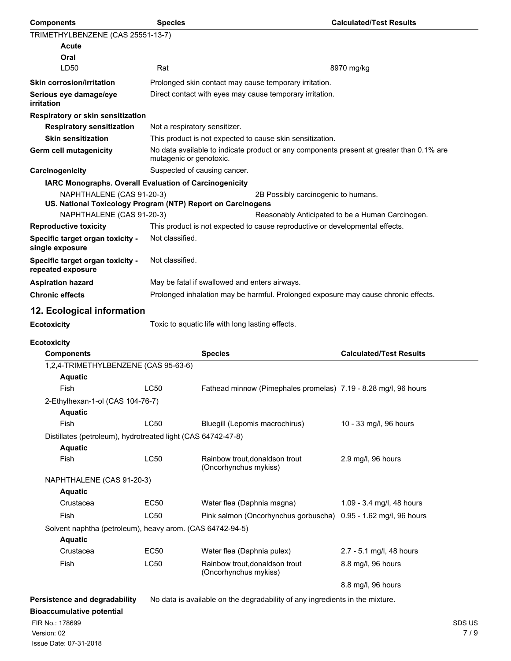| <b>Components</b>                                                                        | <b>Species</b>                                                                                                      |                                                                              | <b>Calculated/Test Results</b>                   |        |
|------------------------------------------------------------------------------------------|---------------------------------------------------------------------------------------------------------------------|------------------------------------------------------------------------------|--------------------------------------------------|--------|
| TRIMETHYLBENZENE (CAS 25551-13-7)                                                        |                                                                                                                     |                                                                              |                                                  |        |
| <b>Acute</b>                                                                             |                                                                                                                     |                                                                              |                                                  |        |
| Oral                                                                                     |                                                                                                                     |                                                                              |                                                  |        |
| LD50                                                                                     | Rat                                                                                                                 |                                                                              | 8970 mg/kg                                       |        |
| <b>Skin corrosion/irritation</b>                                                         |                                                                                                                     | Prolonged skin contact may cause temporary irritation.                       |                                                  |        |
| Serious eye damage/eye<br>irritation                                                     | Direct contact with eyes may cause temporary irritation.                                                            |                                                                              |                                                  |        |
| Respiratory or skin sensitization                                                        |                                                                                                                     |                                                                              |                                                  |        |
| <b>Respiratory sensitization</b><br>Not a respiratory sensitizer.                        |                                                                                                                     |                                                                              |                                                  |        |
| <b>Skin sensitization</b>                                                                | This product is not expected to cause skin sensitization.                                                           |                                                                              |                                                  |        |
| Germ cell mutagenicity                                                                   | No data available to indicate product or any components present at greater than 0.1% are<br>mutagenic or genotoxic. |                                                                              |                                                  |        |
| Carcinogenicity                                                                          | Suspected of causing cancer.                                                                                        |                                                                              |                                                  |        |
| IARC Monographs. Overall Evaluation of Carcinogenicity                                   |                                                                                                                     |                                                                              |                                                  |        |
| NAPHTHALENE (CAS 91-20-3)<br>US. National Toxicology Program (NTP) Report on Carcinogens |                                                                                                                     | 2B Possibly carcinogenic to humans.                                          |                                                  |        |
| NAPHTHALENE (CAS 91-20-3)                                                                |                                                                                                                     |                                                                              | Reasonably Anticipated to be a Human Carcinogen. |        |
| <b>Reproductive toxicity</b>                                                             | This product is not expected to cause reproductive or developmental effects.                                        |                                                                              |                                                  |        |
| Specific target organ toxicity -<br>single exposure                                      | Not classified.                                                                                                     |                                                                              |                                                  |        |
| Specific target organ toxicity -<br>repeated exposure                                    | Not classified.                                                                                                     |                                                                              |                                                  |        |
| <b>Aspiration hazard</b>                                                                 | May be fatal if swallowed and enters airways.                                                                       |                                                                              |                                                  |        |
| <b>Chronic effects</b>                                                                   | Prolonged inhalation may be harmful. Prolonged exposure may cause chronic effects.                                  |                                                                              |                                                  |        |
| 12. Ecological information                                                               |                                                                                                                     |                                                                              |                                                  |        |
| <b>Ecotoxicity</b>                                                                       |                                                                                                                     | Toxic to aquatic life with long lasting effects.                             |                                                  |        |
| <b>Ecotoxicity</b>                                                                       |                                                                                                                     |                                                                              |                                                  |        |
| <b>Components</b>                                                                        |                                                                                                                     | <b>Species</b>                                                               | <b>Calculated/Test Results</b>                   |        |
| 1,2,4-TRIMETHYLBENZENE (CAS 95-63-6)                                                     |                                                                                                                     |                                                                              |                                                  |        |
| <b>Aquatic</b>                                                                           |                                                                                                                     |                                                                              |                                                  |        |
| Fish                                                                                     | <b>LC50</b>                                                                                                         | Fathead minnow (Pimephales promelas) 7.19 - 8.28 mg/l, 96 hours              |                                                  |        |
| 2-Ethylhexan-1-ol (CAS 104-76-7)                                                         |                                                                                                                     |                                                                              |                                                  |        |
| <b>Aquatic</b>                                                                           |                                                                                                                     |                                                                              |                                                  |        |
| Fish                                                                                     | LC50                                                                                                                | Bluegill (Lepomis macrochirus)                                               | 10 - 33 mg/l, 96 hours                           |        |
| Distillates (petroleum), hydrotreated light (CAS 64742-47-8)<br><b>Aquatic</b>           |                                                                                                                     |                                                                              |                                                  |        |
| Fish                                                                                     | <b>LC50</b>                                                                                                         | Rainbow trout, donaldson trout<br>(Oncorhynchus mykiss)                      | 2.9 mg/l, 96 hours                               |        |
| NAPHTHALENE (CAS 91-20-3)<br><b>Aquatic</b>                                              |                                                                                                                     |                                                                              |                                                  |        |
| Crustacea                                                                                | EC50                                                                                                                | Water flea (Daphnia magna)                                                   | 1.09 - 3.4 mg/l, 48 hours                        |        |
| Fish                                                                                     | <b>LC50</b>                                                                                                         | Pink salmon (Oncorhynchus gorbuscha) 0.95 - 1.62 mg/l, 96 hours              |                                                  |        |
| Solvent naphtha (petroleum), heavy arom. (CAS 64742-94-5)                                |                                                                                                                     |                                                                              |                                                  |        |
| <b>Aquatic</b>                                                                           |                                                                                                                     |                                                                              |                                                  |        |
| Crustacea                                                                                | <b>EC50</b>                                                                                                         | Water flea (Daphnia pulex)                                                   | 2.7 - 5.1 mg/l, 48 hours                         |        |
| Fish                                                                                     | LC50                                                                                                                | Rainbow trout, donaldson trout<br>(Oncorhynchus mykiss)                      | 8.8 mg/l, 96 hours                               |        |
|                                                                                          |                                                                                                                     |                                                                              | 8.8 mg/l, 96 hours                               |        |
|                                                                                          |                                                                                                                     |                                                                              |                                                  |        |
| Persistence and degradability                                                            |                                                                                                                     | No data is available on the degradability of any ingredients in the mixture. |                                                  |        |
| <b>Bioaccumulative potential</b><br>FIR No.: 178699                                      |                                                                                                                     |                                                                              |                                                  | SDS US |
| Version: 02                                                                              |                                                                                                                     |                                                                              |                                                  | 7/9    |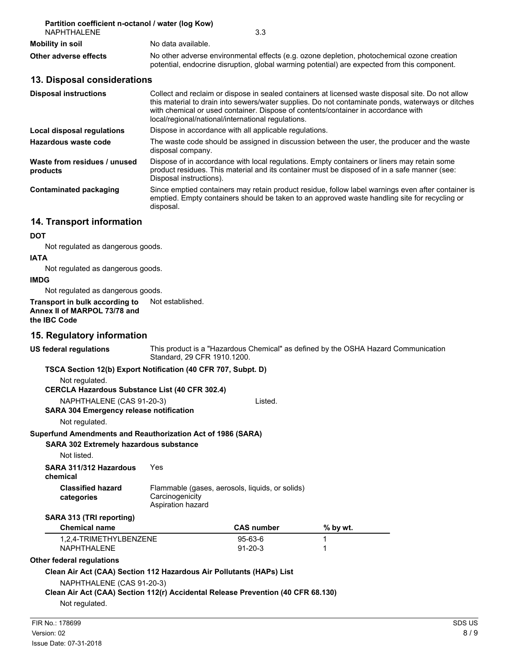| Partition coefficient n-octanol / water (log Kow)<br><b>NAPHTHAI FNF</b> | 3.3                                                                                                                                                                                                                                                                                                                                               |  |
|--------------------------------------------------------------------------|---------------------------------------------------------------------------------------------------------------------------------------------------------------------------------------------------------------------------------------------------------------------------------------------------------------------------------------------------|--|
| <b>Mobility in soil</b>                                                  | No data available.                                                                                                                                                                                                                                                                                                                                |  |
| Other adverse effects                                                    | No other adverse environmental effects (e.g. ozone depletion, photochemical ozone creation<br>potential, endocrine disruption, global warming potential) are expected from this component.                                                                                                                                                        |  |
| 13. Disposal considerations                                              |                                                                                                                                                                                                                                                                                                                                                   |  |
| <b>Disposal instructions</b>                                             | Collect and reclaim or dispose in sealed containers at licensed waste disposal site. Do not allow<br>this material to drain into sewers/water supplies. Do not contaminate ponds, waterways or ditches<br>with chemical or used container. Dispose of contents/container in accordance with<br>local/regional/national/international regulations. |  |
| Local disposal regulations                                               | Dispose in accordance with all applicable regulations.                                                                                                                                                                                                                                                                                            |  |
| Hazardous waste code                                                     | The waste code should be assigned in discussion between the user, the producer and the waste<br>disposal company.                                                                                                                                                                                                                                 |  |
| Waste from residues / unused<br>products                                 | Dispose of in accordance with local regulations. Empty containers or liners may retain some<br>product residues. This material and its container must be disposed of in a safe manner (see:<br>Disposal instructions).                                                                                                                            |  |
| <b>Contaminated packaging</b>                                            | Since emptied containers may retain product residue, follow label warnings even after container is<br>emptied. Empty containers should be taken to an approved waste handling site for recycling or<br>disposal.                                                                                                                                  |  |

# **14. Transport information**

#### **DOT**

Not regulated as dangerous goods.

#### **IATA**

Not regulated as dangerous goods.

#### **IMDG**

Not regulated as dangerous goods.

**Transport in bulk according to** Not established. **Annex II of MARPOL 73/78 and the IBC Code**

#### **15. Regulatory information**

| US federal regulations                                                           | This product is a "Hazardous Chemical" as defined by the OSHA Hazard Communication<br>Standard, 29 CFR 1910.1200. |                                                 |          |        |  |  |  |
|----------------------------------------------------------------------------------|-------------------------------------------------------------------------------------------------------------------|-------------------------------------------------|----------|--------|--|--|--|
|                                                                                  | TSCA Section 12(b) Export Notification (40 CFR 707, Subpt. D)                                                     |                                                 |          |        |  |  |  |
| Not regulated.                                                                   |                                                                                                                   |                                                 |          |        |  |  |  |
|                                                                                  | <b>CERCLA Hazardous Substance List (40 CFR 302.4)</b>                                                             |                                                 |          |        |  |  |  |
| NAPHTHALENE (CAS 91-20-3)                                                        |                                                                                                                   | Listed.                                         |          |        |  |  |  |
|                                                                                  | <b>SARA 304 Emergency release notification</b>                                                                    |                                                 |          |        |  |  |  |
| Not regulated.                                                                   |                                                                                                                   |                                                 |          |        |  |  |  |
| Superfund Amendments and Reauthorization Act of 1986 (SARA)                      |                                                                                                                   |                                                 |          |        |  |  |  |
| SARA 302 Extremely hazardous substance                                           |                                                                                                                   |                                                 |          |        |  |  |  |
| Not listed.                                                                      |                                                                                                                   |                                                 |          |        |  |  |  |
| SARA 311/312 Hazardous<br>chemical                                               | Yes                                                                                                               |                                                 |          |        |  |  |  |
| <b>Classified hazard</b><br>categories                                           | Carcinogenicity<br>Aspiration hazard                                                                              | Flammable (gases, aerosols, liquids, or solids) |          |        |  |  |  |
| SARA 313 (TRI reporting)                                                         |                                                                                                                   |                                                 |          |        |  |  |  |
| <b>Chemical name</b>                                                             |                                                                                                                   | <b>CAS number</b>                               | % by wt. |        |  |  |  |
| 1,2,4-TRIMETHYLBENZENE<br>NAPHTHALENE                                            |                                                                                                                   | $95 - 63 - 6$<br>$91 - 20 - 3$                  |          |        |  |  |  |
| Other federal regulations                                                        |                                                                                                                   |                                                 |          |        |  |  |  |
| Clean Air Act (CAA) Section 112 Hazardous Air Pollutants (HAPs) List             |                                                                                                                   |                                                 |          |        |  |  |  |
| NAPHTHALENE (CAS 91-20-3)                                                        |                                                                                                                   |                                                 |          |        |  |  |  |
| Clean Air Act (CAA) Section 112(r) Accidental Release Prevention (40 CFR 68.130) |                                                                                                                   |                                                 |          |        |  |  |  |
| Not regulated.                                                                   |                                                                                                                   |                                                 |          |        |  |  |  |
| FIR No.: 178699                                                                  |                                                                                                                   |                                                 |          | SDS US |  |  |  |